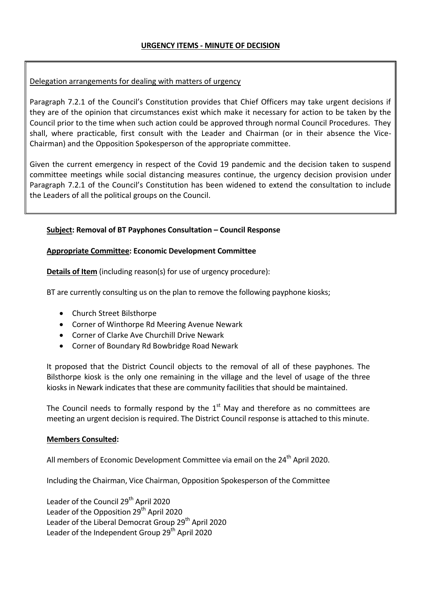## Delegation arrangements for dealing with matters of urgency

Paragraph 7.2.1 of the Council's Constitution provides that Chief Officers may take urgent decisions if they are of the opinion that circumstances exist which make it necessary for action to be taken by the Council prior to the time when such action could be approved through normal Council Procedures. They shall, where practicable, first consult with the Leader and Chairman (or in their absence the Vice-Chairman) and the Opposition Spokesperson of the appropriate committee.

Given the current emergency in respect of the Covid 19 pandemic and the decision taken to suspend committee meetings while social distancing measures continue, the urgency decision provision under Paragraph 7.2.1 of the Council's Constitution has been widened to extend the consultation to include the Leaders of all the political groups on the Council.

## **Subject: Removal of BT Payphones Consultation – Council Response**

## **Appropriate Committee: Economic Development Committee**

**Details of Item** (including reason(s) for use of urgency procedure):

BT are currently consulting us on the plan to remove the following payphone kiosks;

- Church Street Bilsthorpe
- Corner of Winthorpe Rd Meering Avenue Newark
- Corner of Clarke Ave Churchill Drive Newark
- Corner of Boundary Rd Bowbridge Road Newark

It proposed that the District Council objects to the removal of all of these payphones. The Bilsthorpe kiosk is the only one remaining in the village and the level of usage of the three kiosks in Newark indicates that these are community facilities that should be maintained.

The Council needs to formally respond by the  $1<sup>st</sup>$  May and therefore as no committees are meeting an urgent decision is required. The District Council response is attached to this minute.

## **Members Consulted:**

All members of Economic Development Committee via email on the  $24<sup>th</sup>$  April 2020.

Including the Chairman, Vice Chairman, Opposition Spokesperson of the Committee

Leader of the Council 29<sup>th</sup> April 2020 Leader of the Opposition  $29<sup>th</sup>$  April 2020 Leader of the Liberal Democrat Group 29<sup>th</sup> April 2020 Leader of the Independent Group 29<sup>th</sup> April 2020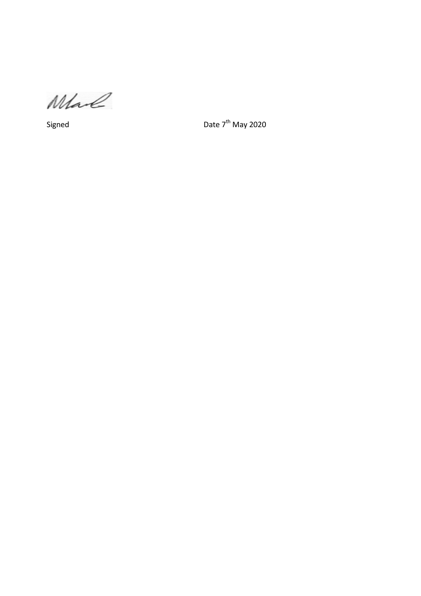Mal

Signed Date 7<sup>th</sup> May 2020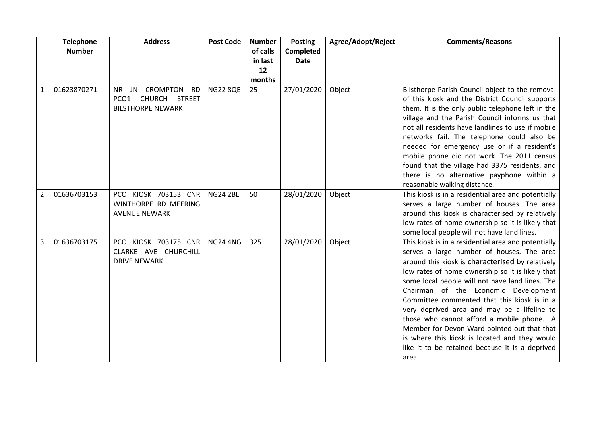|   | <b>Telephone</b> | <b>Address</b>                                                                             | <b>Post Code</b> | <b>Number</b> | <b>Posting</b> | Agree/Adopt/Reject | <b>Comments/Reasons</b>                                                                                                                                                                                                                                                                                                                                                                                                                                                                                                                                                                                    |
|---|------------------|--------------------------------------------------------------------------------------------|------------------|---------------|----------------|--------------------|------------------------------------------------------------------------------------------------------------------------------------------------------------------------------------------------------------------------------------------------------------------------------------------------------------------------------------------------------------------------------------------------------------------------------------------------------------------------------------------------------------------------------------------------------------------------------------------------------------|
|   | <b>Number</b>    |                                                                                            |                  | of calls      | Completed      |                    |                                                                                                                                                                                                                                                                                                                                                                                                                                                                                                                                                                                                            |
|   |                  |                                                                                            |                  | in last       | <b>Date</b>    |                    |                                                                                                                                                                                                                                                                                                                                                                                                                                                                                                                                                                                                            |
|   |                  |                                                                                            |                  | 12            |                |                    |                                                                                                                                                                                                                                                                                                                                                                                                                                                                                                                                                                                                            |
|   |                  |                                                                                            |                  | months        |                |                    |                                                                                                                                                                                                                                                                                                                                                                                                                                                                                                                                                                                                            |
| 1 | 01623870271      | <b>CROMPTON</b><br><b>RD</b><br>NR JN<br>PCO1<br>CHURCH STREET<br><b>BILSTHORPE NEWARK</b> | <b>NG22 8QE</b>  | 25            | 27/01/2020     | Object             | Bilsthorpe Parish Council object to the removal<br>of this kiosk and the District Council supports<br>them. It is the only public telephone left in the<br>village and the Parish Council informs us that<br>not all residents have landlines to use if mobile<br>networks fail. The telephone could also be<br>needed for emergency use or if a resident's<br>mobile phone did not work. The 2011 census<br>found that the village had 3375 residents, and<br>there is no alternative payphone within a<br>reasonable walking distance.                                                                   |
| 2 | 01636703153      | KIOSK 703153 CNR<br>PCO.<br>WINTHORPE RD MEERING<br><b>AVENUE NEWARK</b>                   | <b>NG24 2BL</b>  | 50            | 28/01/2020     | Object             | This kiosk is in a residential area and potentially<br>serves a large number of houses. The area<br>around this kiosk is characterised by relatively<br>low rates of home ownership so it is likely that<br>some local people will not have land lines.                                                                                                                                                                                                                                                                                                                                                    |
| 3 | 01636703175      | PCO KIOSK 703175 CNR<br>CLARKE AVE CHURCHILL<br><b>DRIVE NEWARK</b>                        | <b>NG24 4NG</b>  | 325           | 28/01/2020     | Object             | This kiosk is in a residential area and potentially<br>serves a large number of houses. The area<br>around this kiosk is characterised by relatively<br>low rates of home ownership so it is likely that<br>some local people will not have land lines. The<br>Chairman of the Economic Development<br>Committee commented that this kiosk is in a<br>very deprived area and may be a lifeline to<br>those who cannot afford a mobile phone. A<br>Member for Devon Ward pointed out that that<br>is where this kiosk is located and they would<br>like it to be retained because it is a deprived<br>area. |